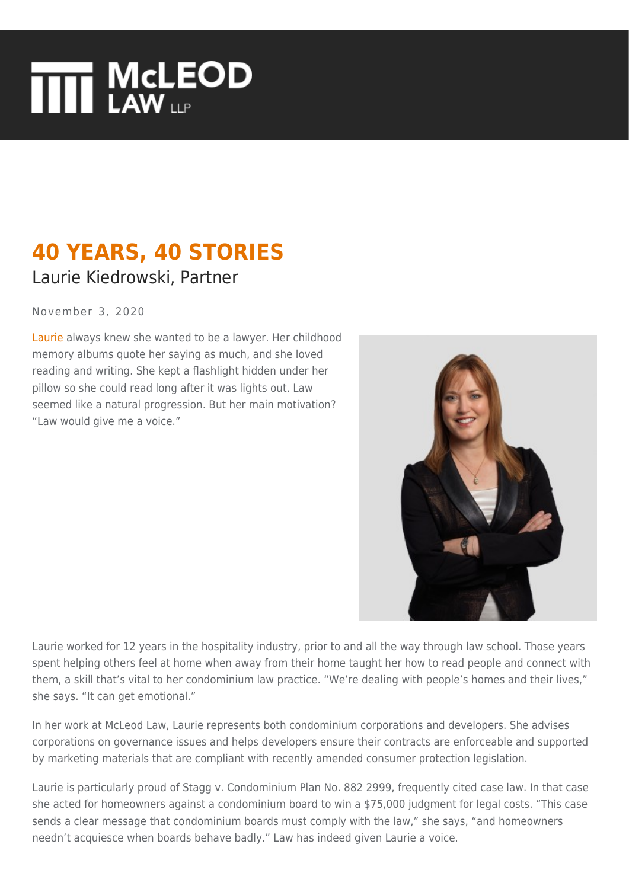## **THE MCLEOD**

## **40 YEARS, 40 STORIES** Laurie Kiedrowski, Partner

November 3, 2020

[Laurie](https://www.mcleod-law.com/professionals/laurie-s-kiedrowski/) always knew she wanted to be a lawyer. Her childhood memory albums quote her saying as much, and she loved reading and writing. She kept a flashlight hidden under her pillow so she could read long after it was lights out. Law seemed like a natural progression. But her main motivation? "Law would give me a voice."



Laurie worked for 12 years in the hospitality industry, prior to and all the way through law school. Those years spent helping others feel at home when away from their home taught her how to read people and connect with them, a skill that's vital to her condominium law practice. "We're dealing with people's homes and their lives," she says. "It can get emotional."

In her work at McLeod Law, Laurie represents both condominium corporations and developers. She advises corporations on governance issues and helps developers ensure their contracts are enforceable and supported by marketing materials that are compliant with recently amended consumer protection legislation.

Laurie is particularly proud of Stagg v. Condominium Plan No. 882 2999, frequently cited case law. In that case she acted for homeowners against a condominium board to win a \$75,000 judgment for legal costs. "This case sends a clear message that condominium boards must comply with the law," she says, "and homeowners needn't acquiesce when boards behave badly." Law has indeed given Laurie a voice.